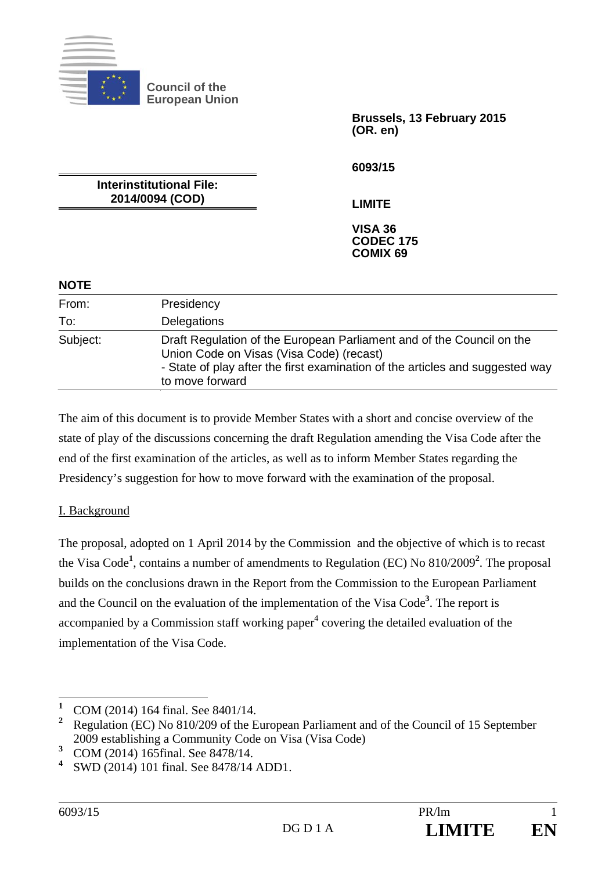

**Council of the European Union** 

> **Brussels, 13 February 2015 (OR. en)**

**6093/15** 

**LIMITE** 

**Interinstitutional File: 2014/0094 (COD)** 

> **VISA 36 CODEC 175 COMIX 69**

## **NOTE**

| From:    | Presidency                                                                                                                                                                                                            |
|----------|-----------------------------------------------------------------------------------------------------------------------------------------------------------------------------------------------------------------------|
| To:      | Delegations                                                                                                                                                                                                           |
| Subject: | Draft Regulation of the European Parliament and of the Council on the<br>Union Code on Visas (Visa Code) (recast)<br>- State of play after the first examination of the articles and suggested way<br>to move forward |

The aim of this document is to provide Member States with a short and concise overview of the state of play of the discussions concerning the draft Regulation amending the Visa Code after the end of the first examination of the articles, as well as to inform Member States regarding the Presidency's suggestion for how to move forward with the examination of the proposal.

## I. Background

The proposal, adopted on 1 April 2014 by the Commission and the objective of which is to recast the Visa Code**<sup>1</sup>** , contains a number of amendments to Regulation (EC) No 810/2009**<sup>2</sup>** . The proposal builds on the conclusions drawn in the Report from the Commission to the European Parliament and the Council on the evaluation of the implementation of the Visa Code**<sup>3</sup>** . The report is accompanied by a Commission staff working paper $<sup>4</sup>$  covering the detailed evaluation of the</sup> implementation of the Visa Code.

 **1** COM (2014) 164 final. See 8401/14.

<sup>&</sup>lt;sup>2</sup> Regulation (EC) No 810/209 of the European Parliament and of the Council of 15 September 2009 establishing a Community Code on Visa (Visa Code)

**<sup>3</sup>** COM (2014) 165final. See 8478/14.

**<sup>4</sup>** SWD (2014) 101 final. See 8478/14 ADD1.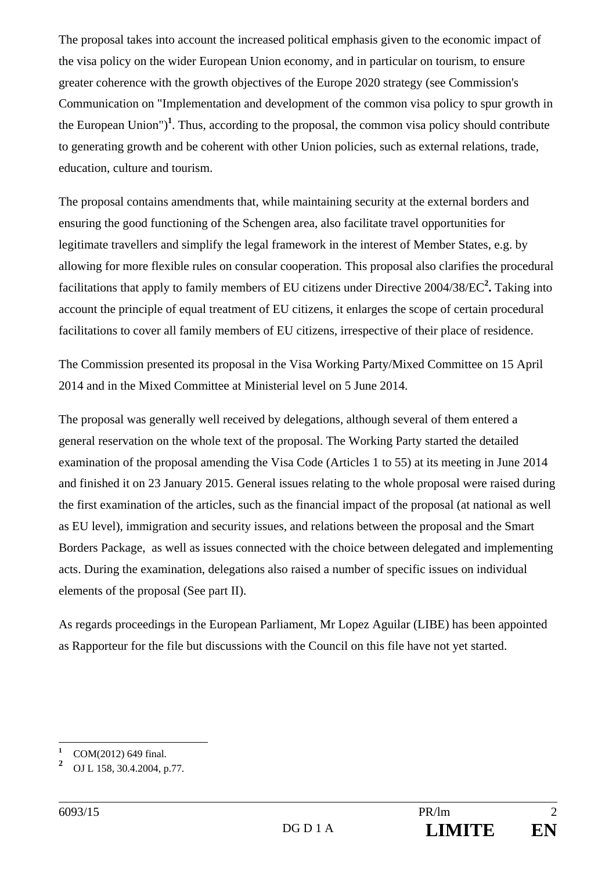The proposal takes into account the increased political emphasis given to the economic impact of the visa policy on the wider European Union economy, and in particular on tourism, to ensure greater coherence with the growth objectives of the Europe 2020 strategy (see Commission's Communication on "Implementation and development of the common visa policy to spur growth in the European Union")**<sup>1</sup>** . Thus, according to the proposal, the common visa policy should contribute to generating growth and be coherent with other Union policies, such as external relations, trade, education, culture and tourism.

The proposal contains amendments that, while maintaining security at the external borders and ensuring the good functioning of the Schengen area, also facilitate travel opportunities for legitimate travellers and simplify the legal framework in the interest of Member States, e.g. by allowing for more flexible rules on consular cooperation. This proposal also clarifies the procedural facilitations that apply to family members of EU citizens under Directive 2004/38/EC**<sup>2</sup> .** Taking into account the principle of equal treatment of EU citizens, it enlarges the scope of certain procedural facilitations to cover all family members of EU citizens, irrespective of their place of residence.

The Commission presented its proposal in the Visa Working Party/Mixed Committee on 15 April 2014 and in the Mixed Committee at Ministerial level on 5 June 2014.

The proposal was generally well received by delegations, although several of them entered a general reservation on the whole text of the proposal. The Working Party started the detailed examination of the proposal amending the Visa Code (Articles 1 to 55) at its meeting in June 2014 and finished it on 23 January 2015. General issues relating to the whole proposal were raised during the first examination of the articles, such as the financial impact of the proposal (at national as well as EU level), immigration and security issues, and relations between the proposal and the Smart Borders Package, as well as issues connected with the choice between delegated and implementing acts. During the examination, delegations also raised a number of specific issues on individual elements of the proposal (See part II).

As regards proceedings in the European Parliament, Mr Lopez Aguilar (LIBE) has been appointed as Rapporteur for the file but discussions with the Council on this file have not yet started.

 $\overline{a}$ 

**<sup>1</sup>** COM(2012) 649 final.

**<sup>2</sup>** OJ L 158, 30.4.2004, p.77.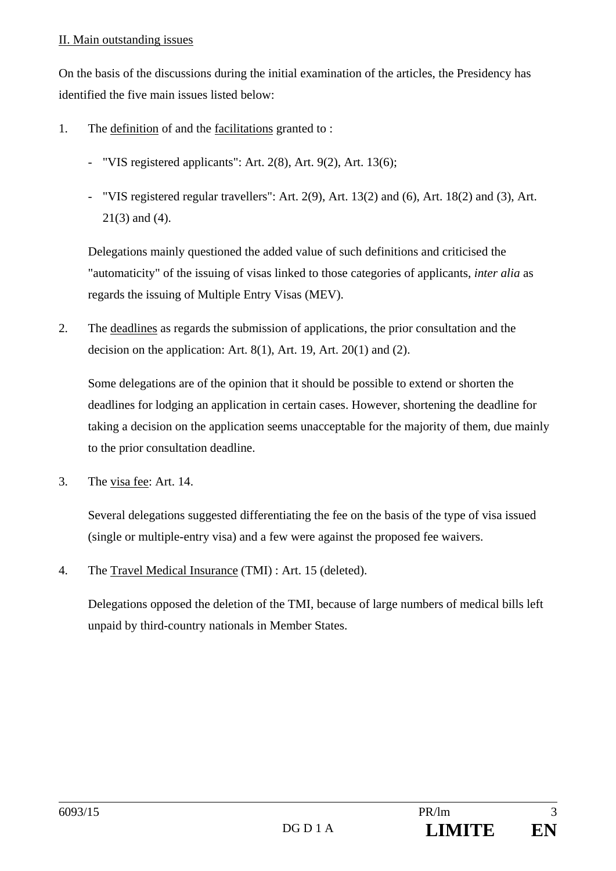## II. Main outstanding issues

On the basis of the discussions during the initial examination of the articles, the Presidency has identified the five main issues listed below:

- 1. The definition of and the facilitations granted to :
	- "VIS registered applicants": Art. 2(8), Art. 9(2), Art. 13(6);
	- "VIS registered regular travellers": Art. 2(9), Art. 13(2) and (6), Art. 18(2) and (3), Art. 21(3) and (4).

 Delegations mainly questioned the added value of such definitions and criticised the "automaticity" of the issuing of visas linked to those categories of applicants, *inter alia* as regards the issuing of Multiple Entry Visas (MEV).

2. The deadlines as regards the submission of applications, the prior consultation and the decision on the application: Art. 8(1), Art. 19, Art. 20(1) and (2).

 Some delegations are of the opinion that it should be possible to extend or shorten the deadlines for lodging an application in certain cases. However, shortening the deadline for taking a decision on the application seems unacceptable for the majority of them, due mainly to the prior consultation deadline.

3. The visa fee: Art. 14.

 Several delegations suggested differentiating the fee on the basis of the type of visa issued (single or multiple-entry visa) and a few were against the proposed fee waivers.

4. The Travel Medical Insurance (TMI) : Art. 15 (deleted).

 Delegations opposed the deletion of the TMI, because of large numbers of medical bills left unpaid by third-country nationals in Member States.